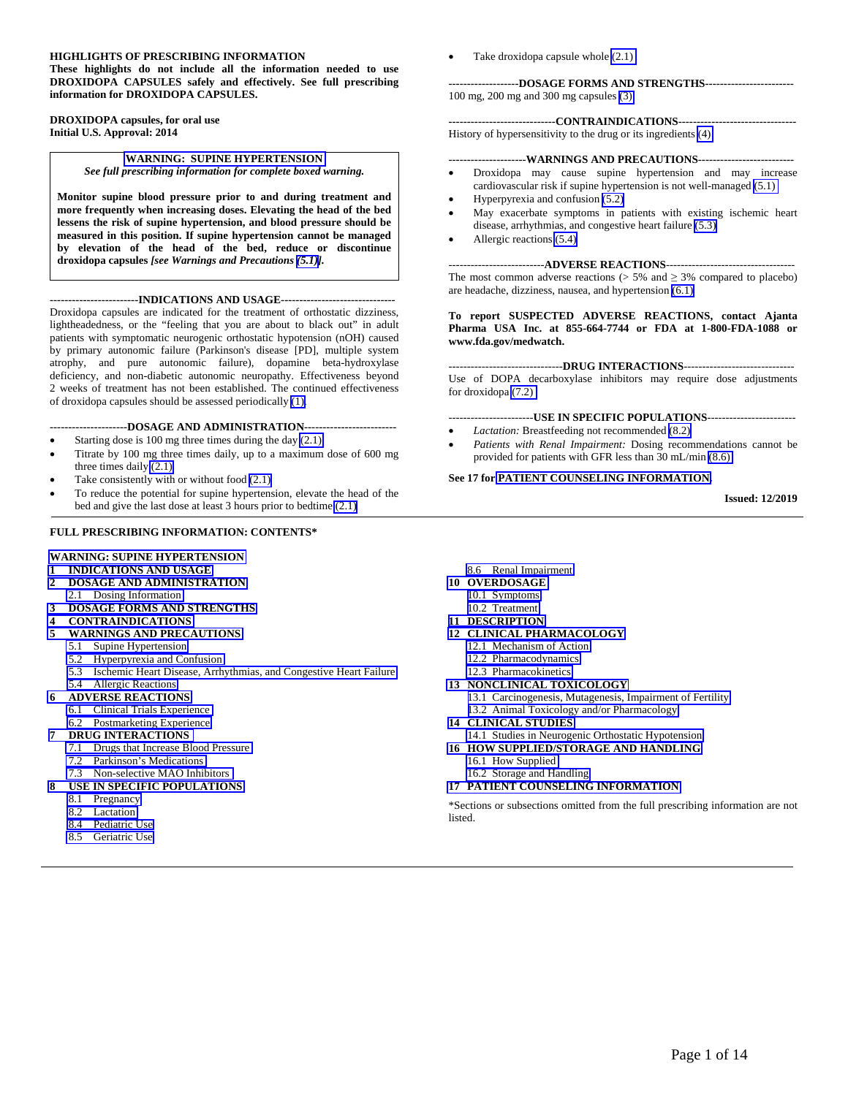#### **HIGHLIGHTS OF PRESCRIBING INFORMATION**

**These highlights do not include all the information needed to use DROXIDOPA CAPSULES safely and effectively. See full prescribing information for DROXIDOPA CAPSULES.** 

#### **DROXIDOPA capsules, for oral use Initial U.S. Approval: 2014**

**[WARNING: SUPINE HYPERTENSION](#page-1-0)**  *See full prescribing information for complete boxed warning.* 

**Monitor supine blood pressure prior to and during treatment and more frequently when increasing doses. Elevating the head of the bed lessens the risk of supine hypertension, and blood pressure should be measured in this position. If supine hypertension cannot be managed by elevation of the head of the bed, reduce or discontinue droxidopa capsules** *[see Warnings and Precautions [\(5.1\)\]](#page-2-0).* 

#### **------------------------INDICATIONS AND USAGE-------------------------------**

Droxidopa capsules are indicated for the treatment of orthostatic dizziness, lightheadedness, or the "feeling that you are about to black out" in adult patients with symptomatic neurogenic orthostatic hypotension (nOH) caused by primary autonomic failure (Parkinson's disease [PD], multiple system atrophy, and pure autonomic failure), dopamine beta-hydroxylase deficiency, and non-diabetic autonomic neuropathy. Effectiveness beyond 2 weeks of treatment has not been established. The continued effectiveness of droxidopa capsules should be assessed periodically [\(1\).](#page-1-0)

#### **---------------------DOSAGE AND ADMINISTRATION-------------------------**

- Starting dose is 100 mg three times during the day [\(2.1\)](#page-1-0)
- Titrate by 100 mg three times daily, up to a maximum dose of 600 mg three times daily [\(2.1\)](#page-1-0)
- Take consistently with or without food [\(2.1\)](#page-1-0)
- To reduce the potential for supine hypertension, elevate the head of the bed and give the last dose at least 3 hours prior to bedtime [\(2.1\)](#page-1-0)

#### **FULL PRESCRIBING INFORMATION: CONTENTS\***

#### **[WARNING: SUPINE HYPERTENSION](#page-1-0)**

- **1 [INDICATIONS AND USAGE](#page-1-0)**
- **2 [DOSAGE AND ADMINISTRATION](#page-1-0)**
- 2.1 [Dosing Information](#page-1-0) **3 [DOSAGE FORMS AND STRENGTHS](#page-1-0)**
- **4 [CONTRAINDICATIONS](#page-2-0)**
- **5 [WARNINGS AND PRECAUTIONS](#page-2-0)** 
	- 5.1 [Supine Hypertension](#page-2-0)
	- 5.2 [Hyperpyrexia and Confusion](#page-2-0)
	-
	- 5.3 [Ischemic Heart Disease, Arrhythmias, and Congestive Heart Failure](#page-2-0)
- 5.4 [Allergic Reactions](#page-2-0)
- **6 [ADVERSE REACTIONS](#page-2-0)**
- 6.1 [Clinical Trials Experience](#page-3-0)  6.2 [Postmarketing Experience](#page-4-0)
- **7 [DRUG INTERACTIONS](#page-4-0)**
	- 7.1 [Drugs that Increase Blood Pressure](#page-4-0)
	- 7.2 [Parkinson's Medications](#page-4-0)
	- 7.3 [Non-selective MAO Inhibitors](#page-4-0)
- **8 [USE IN SPECIFIC POPULATIONS](#page-4-0)**
	- 8.1 [Pregnancy](#page-4-0)
	- 8.2 [Lactation](#page-5-0)
	- 8.4 [Pediatric Use](#page-5-0)
	- 8.5 [Geriatric Use](#page-5-0)

Take droxidopa capsule whole [\(2.1\)](#page-1-0) 

#### **-------------------DOSAGE FORMS AND STRENGTHS------------------------**  100 mg, 200 mg and 300 mg capsules [\(3\)](#page-1-0)

#### **-----------------------------CONTRAINDICATIONS--------------------------------**  History of hypersensitivity to the drug or its ingredients [\(4\)](#page-2-0)

#### **---------------------WARNINGS AND PRECAUTIONS--------------------------**

- Droxidopa may cause supine hypertension and may increase cardiovascular risk if supine hypertension is not well-managed [\(5.1\)](#page-2-0)
- Hyperpyrexia and confusion [\(5.2\)](#page-2-0)
- May exacerbate symptoms in patients with existing ischemic heart disease, arrhythmias, and congestive heart failure [\(5.3\)](#page-2-0)
- Allergic reactions [\(5.4\)](#page-2-0)

#### --------------------------**ADVERSE REACTIONS**-----------------------------------

The most common adverse reactions ( $> 5\%$  and  $\geq 3\%$  compared to placebo) are headache, dizziness, nausea, and hypertension [\(6.1\)](#page-3-0) 

#### **To report SUSPECTED ADVERSE REACTIONS, contact Ajanta Pharma USA Inc. at 855-664-7744 or FDA at 1-800-FDA-1088 or www.fda.gov/medwatch.**

#### -------------------------------**DRUG INTERACTIONS**------------------------------

Use of DOPA decarboxylase inhibitors may require dose adjustments for droxidopa [\(7.2\)](#page-4-0) 

-------------------------USE IN SPECIFIC POPULATIONS----------------------------

- *Lactation:* Breastfeeding not recommended [\(8.2\)](#page-5-0)
- *Patients with Renal Impairment:* Dosing recommendations cannot be provided for patients with GFR less than 30 mL/min [\(8.6\)](#page-6-0)

#### **See 17 for [PATIENT COUNSELING INFORMATION.](#page-12-0)**

**Issued: 12/2019** 

- 8.6 [Renal Impairment](#page-6-0)
- **10 [OVERDOSAGE](#page-6-0)** 
	- 10.1 [Symptoms](#page-6-0)
- 10.2 Treatment
- **11 [DESCRIPTION](#page-6-0)**
- **12 [CLINICAL PHARMACOLOGY](#page-7-0)** 
	- 12.1 [Mechanism of Action](#page-7-0) 
		- 12.2 [Pharmacodynamics](#page-7-0)
		- 12.3 [Pharmacokinetics](#page-7-0)
	-
	- 13.1 [Carcinogenesis, Mutagenesis, Impairment of Fertility](#page-8-0)
	- 13.2 [Animal Toxicology and/or Pharmacology](#page-9-0)
- 
- 14.1 [Studies in Neurogenic Orthostatic Hypotension](#page-9-0)
- 
- 

\*Sections or subsections omitted from the full prescribing information are not listed.

- 
- **13 [NONCLINICAL TOXICOLOGY](#page-8-0)**
- 

- 
- **16 [HOW SUPPLIED/STORAGE AND HANDLING](#page-11-0)** 
	- 16.1 [How Supplied](#page-11-0)
- **17 [PATIENT COUNSELING INFORMATION](#page-12-0)**
- - -
		-
	- - **14 [CLINICAL STUDIES](#page-9-0)**
		-

16.2 [Storage and Handling](#page-12-0)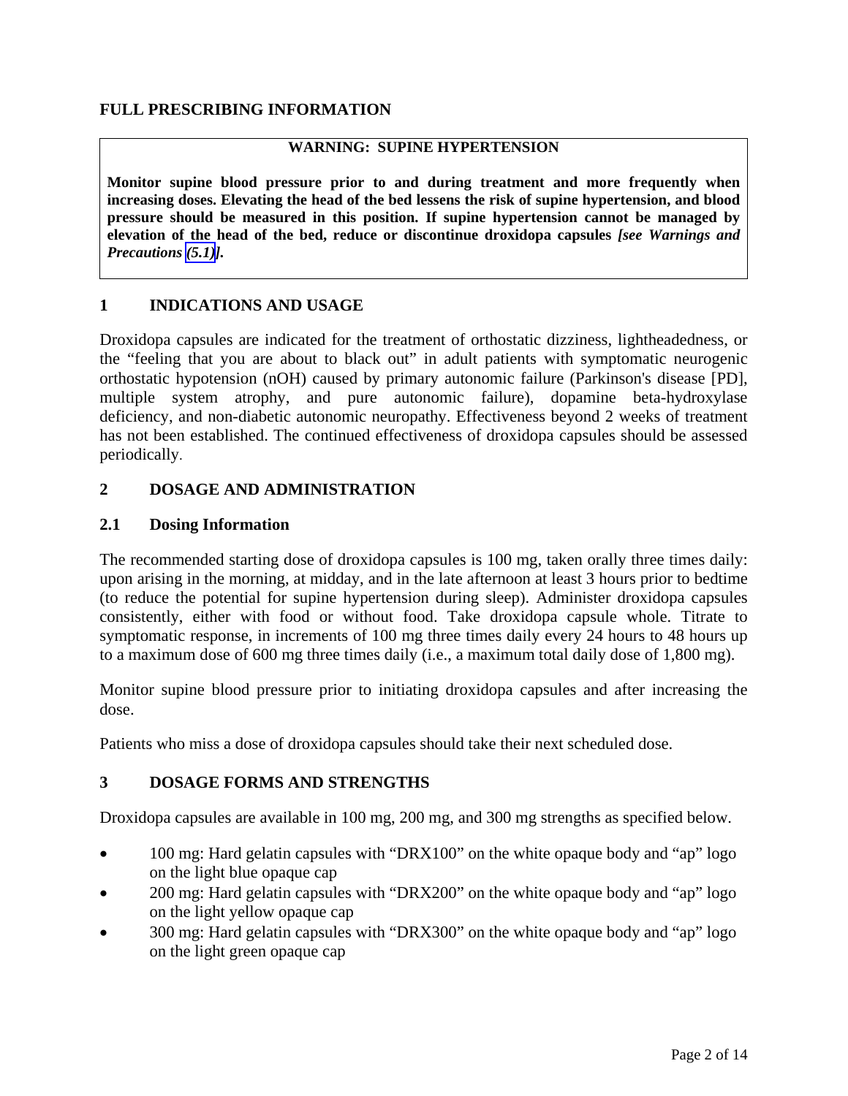# <span id="page-1-0"></span>**FULL PRESCRIBING INFORMATION**

## **WARNING: SUPINE HYPERTENSION**

**Monitor supine blood pressure prior to and during treatment and more frequently when increasing doses. Elevating the head of the bed lessens the risk of supine hypertension, and blood pressure should be measured in this position. If supine hypertension cannot be managed by elevation of the head of the bed, reduce or discontinue droxidopa capsules** *[see Warnings and Precautions [\(5.1\)](#page-2-0)].* 

## **1 INDICATIONS AND USAGE**

Droxidopa capsules are indicated for the treatment of orthostatic dizziness, lightheadedness, or the "feeling that you are about to black out" in adult patients with symptomatic neurogenic orthostatic hypotension (nOH) caused by primary autonomic failure (Parkinson's disease [PD], multiple system atrophy, and pure autonomic failure), dopamine beta-hydroxylase deficiency, and non-diabetic autonomic neuropathy. Effectiveness beyond 2 weeks of treatment has not been established. The continued effectiveness of droxidopa capsules should be assessed periodically.

## **2 DOSAGE AND ADMINISTRATION**

## **2.1 Dosing Information**

The recommended starting dose of droxidopa capsules is 100 mg, taken orally three times daily: upon arising in the morning, at midday, and in the late afternoon at least 3 hours prior to bedtime (to reduce the potential for supine hypertension during sleep). Administer droxidopa capsules consistently, either with food or without food. Take droxidopa capsule whole. Titrate to symptomatic response, in increments of 100 mg three times daily every 24 hours to 48 hours up to a maximum dose of 600 mg three times daily (i.e., a maximum total daily dose of 1,800 mg).

Monitor supine blood pressure prior to initiating droxidopa capsules and after increasing the dose.

Patients who miss a dose of droxidopa capsules should take their next scheduled dose.

## **3 DOSAGE FORMS AND STRENGTHS**

Droxidopa capsules are available in 100 mg, 200 mg, and 300 mg strengths as specified below.

- 100 mg: Hard gelatin capsules with "DRX100" on the white opaque body and "ap" logo on the light blue opaque cap
- 200 mg: Hard gelatin capsules with "DRX200" on the white opaque body and "ap" logo on the light yellow opaque cap
- 300 mg: Hard gelatin capsules with "DRX300" on the white opaque body and "ap" logo on the light green opaque cap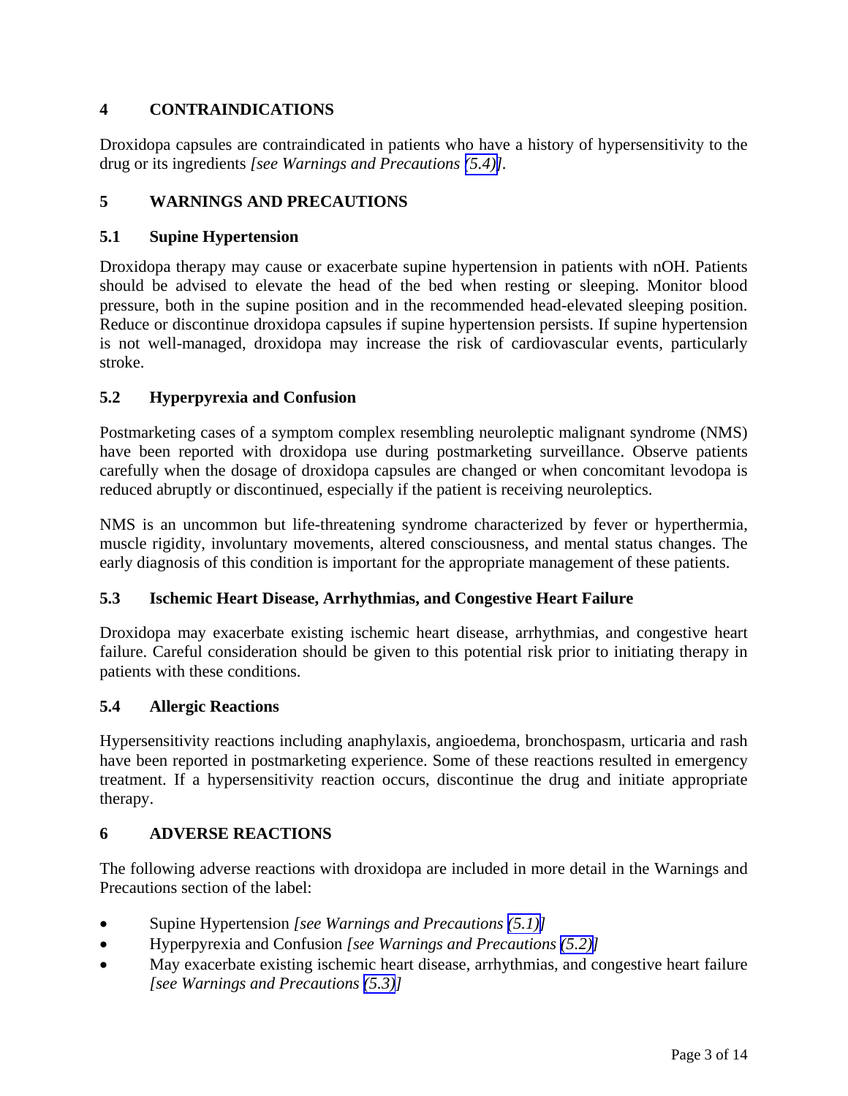# <span id="page-2-0"></span>**4 CONTRAINDICATIONS**

Droxidopa capsules are contraindicated in patients who have a history of hypersensitivity to the drug or its ingredients *[see Warnings and Precautions (5.4)].* 

# **5 WARNINGS AND PRECAUTIONS**

# **5.1 Supine Hypertension**

Droxidopa therapy may cause or exacerbate supine hypertension in patients with nOH. Patients should be advised to elevate the head of the bed when resting or sleeping. Monitor blood pressure, both in the supine position and in the recommended head-elevated sleeping position. Reduce or discontinue droxidopa capsules if supine hypertension persists. If supine hypertension is not well-managed, droxidopa may increase the risk of cardiovascular events, particularly stroke.

# **5.2 Hyperpyrexia and Confusion**

Postmarketing cases of a symptom complex resembling neuroleptic malignant syndrome (NMS) have been reported with droxidopa use during postmarketing surveillance. Observe patients carefully when the dosage of droxidopa capsules are changed or when concomitant levodopa is reduced abruptly or discontinued, especially if the patient is receiving neuroleptics.

NMS is an uncommon but life-threatening syndrome characterized by fever or hyperthermia, muscle rigidity, involuntary movements, altered consciousness, and mental status changes. The early diagnosis of this condition is important for the appropriate management of these patients.

## **5.3 Ischemic Heart Disease, Arrhythmias, and Congestive Heart Failure**

Droxidopa may exacerbate existing ischemic heart disease, arrhythmias, and congestive heart failure. Careful consideration should be given to this potential risk prior to initiating therapy in patients with these conditions.

## **5.4 Allergic Reactions**

Hypersensitivity reactions including anaphylaxis, angioedema, bronchospasm, urticaria and rash have been reported in postmarketing experience. Some of these reactions resulted in emergency treatment. If a hypersensitivity reaction occurs, discontinue the drug and initiate appropriate therapy.

## **6 ADVERSE REACTIONS**

The following adverse reactions with droxidopa are included in more detail in the Warnings and Precautions section of the label:

- Supine Hypertension *[see Warnings and Precautions (5.1)]*
- Hyperpyrexia and Confusion *[see Warnings and Precautions (5.2)]*
- May exacerbate existing ischemic heart disease, arrhythmias, and congestive heart failure *[see Warnings and Precautions (5.3)]*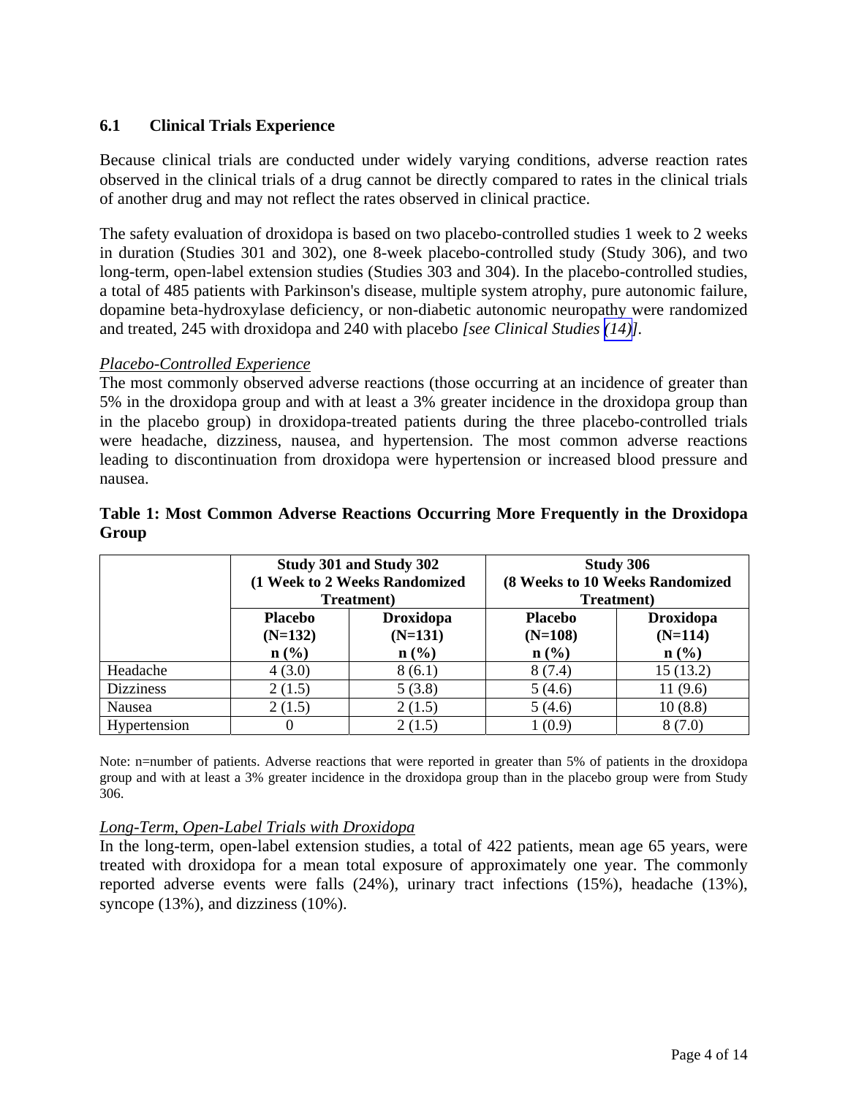# <span id="page-3-0"></span>**6.1 Clinical Trials Experience**

Because clinical trials are conducted under widely varying conditions, adverse reaction rates observed in the clinical trials of a drug cannot be directly compared to rates in the clinical trials of another drug and may not reflect the rates observed in clinical practice.

The safety evaluation of droxidopa is based on two placebo-controlled studies 1 week to 2 weeks in duration (Studies 301 and 302), one 8-week placebo-controlled study (Study 306), and two long-term, open-label extension studies (Studies 303 and 304). In the placebo-controlled studies, a total of 485 patients with Parkinson's disease, multiple system atrophy, pure autonomic failure, dopamine beta-hydroxylase deficiency, or non-diabetic autonomic neuropathy were randomized and treated, 245 with droxidopa and 240 with placebo *[see Clinical Studies [\(14\)](#page-9-0)].*

#### *Placebo-Controlled Experience*

The most commonly observed adverse reactions (those occurring at an incidence of greater than 5% in the droxidopa group and with at least a 3% greater incidence in the droxidopa group than in the placebo group) in droxidopa-treated patients during the three placebo-controlled trials were headache, dizziness, nausea, and hypertension. The most common adverse reactions leading to discontinuation from droxidopa were hypertension or increased blood pressure and nausea.

|                  | Study 301 and Study 302<br>(1 Week to 2 Weeks Randomized<br><b>Treatment</b> ) |                                                              | <b>Study 306</b><br>(8 Weeks to 10 Weeks Randomized<br>Treatment) |                                                              |
|------------------|--------------------------------------------------------------------------------|--------------------------------------------------------------|-------------------------------------------------------------------|--------------------------------------------------------------|
|                  | <b>Placebo</b><br>$(N=132)$<br>$n\left(\frac{0}{0}\right)$                     | <b>Droxidopa</b><br>$(N=131)$<br>$n\left(\frac{0}{0}\right)$ | <b>Placebo</b><br>$(N=108)$<br>$n\left(\frac{0}{0}\right)$        | <b>Droxidopa</b><br>$(N=114)$<br>$n\left(\frac{0}{0}\right)$ |
| Headache         | 4(3.0)                                                                         | 8(6.1)                                                       | 8(7.4)                                                            | 15(13.2)                                                     |
| <b>Dizziness</b> | 2(1.5)                                                                         | 5(3.8)                                                       | 5(4.6)                                                            | 11(9.6)                                                      |
| Nausea           | 2(1.5)                                                                         | 2(1.5)                                                       | 5(4.6)                                                            | 10(8.8)                                                      |
| Hypertension     |                                                                                | 2(1.5)                                                       | 1(0.9)                                                            | 8(7.0)                                                       |

# **Table 1: Most Common Adverse Reactions Occurring More Frequently in the Droxidopa Group**

Note: n=number of patients. Adverse reactions that were reported in greater than 5% of patients in the droxidopa group and with at least a 3% greater incidence in the droxidopa group than in the placebo group were from Study 306.

## *Long-Term, Open-Label Trials with Droxidopa*

In the long-term, open-label extension studies, a total of 422 patients, mean age 65 years, were treated with droxidopa for a mean total exposure of approximately one year. The commonly reported adverse events were falls (24%), urinary tract infections (15%), headache (13%), syncope (13%), and dizziness (10%).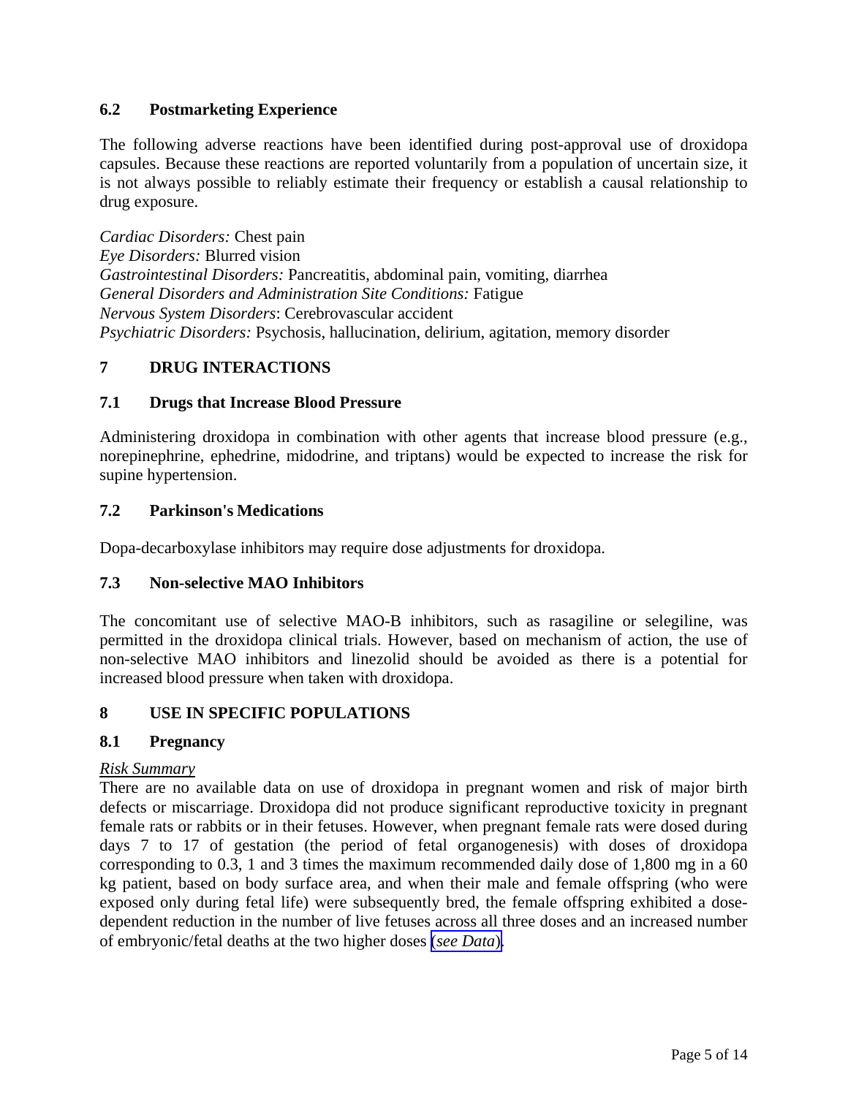# <span id="page-4-0"></span>**6.2 Postmarketing Experience**

The following adverse reactions have been identified during post-approval use of droxidopa capsules. Because these reactions are reported voluntarily from a population of uncertain size, it is not always possible to reliably estimate their frequency or establish a causal relationship to drug exposure.

*Cardiac Disorders:* Chest pain *Eye Disorders:* Blurred vision *Gastrointestinal Disorders:* Pancreatitis, abdominal pain, vomiting, diarrhea *General Disorders and Administration Site Conditions:* Fatigue *Nervous System Disorders*: Cerebrovascular accident *Psychiatric Disorders:* Psychosis, hallucination, delirium, agitation, memory disorder

# **7 DRUG INTERACTIONS**

# **7.1 Drugs that Increase Blood Pressure**

Administering droxidopa in combination with other agents that increase blood pressure (e.g., norepinephrine, ephedrine, midodrine, and triptans) would be expected to increase the risk for supine hypertension.

# **7.2 Parkinson's Medications**

Dopa-decarboxylase inhibitors may require dose adjustments for droxidopa.

# **7.3 Non-selective MAO Inhibitors**

The concomitant use of selective MAO-B inhibitors, such as rasagiline or selegiline, was permitted in the droxidopa clinical trials. However, based on mechanism of action, the use of non-selective MAO inhibitors and linezolid should be avoided as there is a potential for increased blood pressure when taken with droxidopa.

# **8 USE IN SPECIFIC POPULATIONS**

# **8.1 Pregnancy**

# *Risk Summary*

There are no available data on use of droxidopa in pregnant women and risk of major birth defects or miscarriage. Droxidopa did not produce significant reproductive toxicity in pregnant female rats or rabbits or in their fetuses. However, when pregnant female rats were dosed during days 7 to 17 of gestation (the period of fetal organogenesis) with doses of droxidopa corresponding to 0.3, 1 and 3 times the maximum recommended daily dose of 1,800 mg in a 60 kg patient, based on body surface area, and when their male and female offspring (who were exposed only during fetal life) were subsequently bred, the female offspring exhibited a dosedependent reduction in the number of live fetuses across all three doses and an increased number of embryonic/fetal deaths at the two higher doses (*[see Data](#page-5-0)*).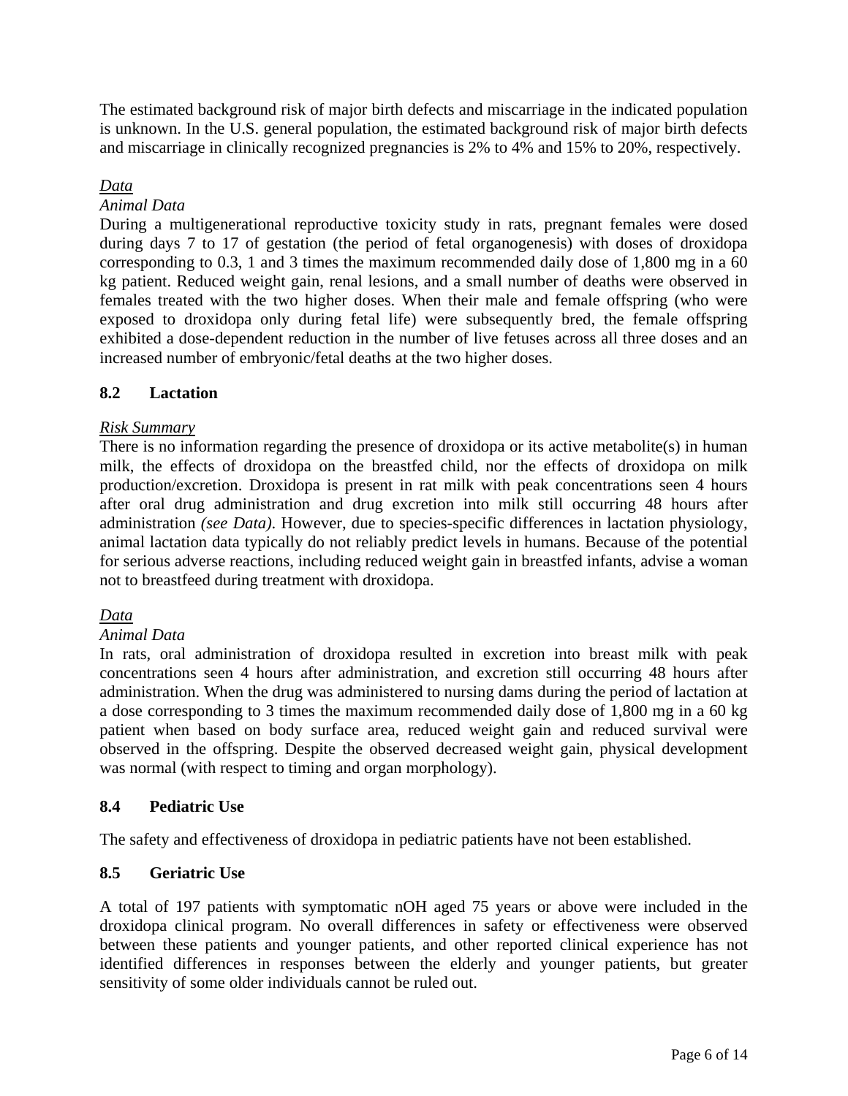<span id="page-5-0"></span>The estimated background risk of major birth defects and miscarriage in the indicated population is unknown. In the U.S. general population, the estimated background risk of major birth defects and miscarriage in clinically recognized pregnancies is 2% to 4% and 15% to 20%, respectively.

# *Data*

## *Animal Data*

During a multigenerational reproductive toxicity study in rats, pregnant females were dosed during days 7 to 17 of gestation (the period of fetal organogenesis) with doses of droxidopa corresponding to 0.3, 1 and 3 times the maximum recommended daily dose of 1,800 mg in a 60 kg patient. Reduced weight gain, renal lesions, and a small number of deaths were observed in females treated with the two higher doses. When their male and female offspring (who were exposed to droxidopa only during fetal life) were subsequently bred, the female offspring exhibited a dose-dependent reduction in the number of live fetuses across all three doses and an increased number of embryonic/fetal deaths at the two higher doses.

# **8.2 Lactation**

## *Risk Summary*

There is no information regarding the presence of droxidopa or its active metabolite(s) in human milk, the effects of droxidopa on the breastfed child, nor the effects of droxidopa on milk production/excretion. Droxidopa is present in rat milk with peak concentrations seen 4 hours after oral drug administration and drug excretion into milk still occurring 48 hours after administration *(see Data)*. However, due to species-specific differences in lactation physiology, animal lactation data typically do not reliably predict levels in humans. Because of the potential for serious adverse reactions, including reduced weight gain in breastfed infants, advise a woman not to breastfeed during treatment with droxidopa.

# *Data*

## *Animal Data*

In rats, oral administration of droxidopa resulted in excretion into breast milk with peak concentrations seen 4 hours after administration, and excretion still occurring 48 hours after administration. When the drug was administered to nursing dams during the period of lactation at a dose corresponding to 3 times the maximum recommended daily dose of 1,800 mg in a 60 kg patient when based on body surface area, reduced weight gain and reduced survival were observed in the offspring. Despite the observed decreased weight gain, physical development was normal (with respect to timing and organ morphology).

# **8.4 Pediatric Use**

The safety and effectiveness of droxidopa in pediatric patients have not been established.

## **8.5 Geriatric Use**

A total of 197 patients with symptomatic nOH aged 75 years or above were included in the droxidopa clinical program. No overall differences in safety or effectiveness were observed between these patients and younger patients, and other reported clinical experience has not identified differences in responses between the elderly and younger patients, but greater sensitivity of some older individuals cannot be ruled out.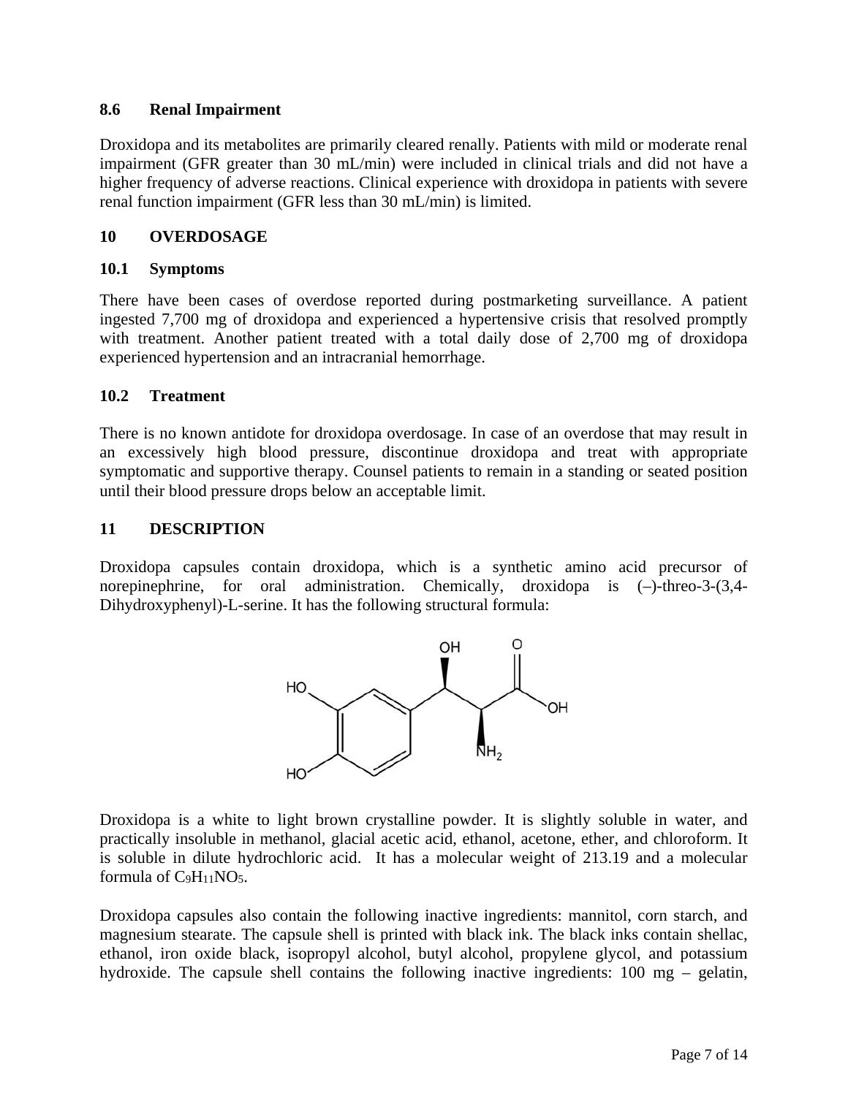# <span id="page-6-0"></span>**8.6 Renal Impairment**

Droxidopa and its metabolites are primarily cleared renally. Patients with mild or moderate renal impairment (GFR greater than 30 mL/min) were included in clinical trials and did not have a higher frequency of adverse reactions. Clinical experience with droxidopa in patients with severe renal function impairment (GFR less than 30 mL/min) is limited.

# **10 OVERDOSAGE**

# **10.1 Symptoms**

There have been cases of overdose reported during postmarketing surveillance. A patient ingested 7,700 mg of droxidopa and experienced a hypertensive crisis that resolved promptly with treatment. Another patient treated with a total daily dose of 2,700 mg of droxidopa experienced hypertension and an intracranial hemorrhage.

# **10.2 Treatment**

There is no known antidote for droxidopa overdosage. In case of an overdose that may result in an excessively high blood pressure, discontinue droxidopa and treat with appropriate symptomatic and supportive therapy. Counsel patients to remain in a standing or seated position until their blood pressure drops below an acceptable limit.

# **11 DESCRIPTION**

Droxidopa capsules contain droxidopa, which is a synthetic amino acid precursor of norepinephrine, for oral administration. Chemically, droxidopa is (–)-threo-3-(3,4- Dihydroxyphenyl)-L-serine. It has the following structural formula:



Droxidopa is a white to light brown crystalline powder. It is slightly soluble in water, and practically insoluble in methanol, glacial acetic acid, ethanol, acetone, ether, and chloroform. It is soluble in dilute hydrochloric acid. It has a molecular weight of 213.19 and a molecular formula of C9H11NO5.

Droxidopa capsules also contain the following inactive ingredients: mannitol, corn starch, and magnesium stearate. The capsule shell is printed with black ink. The black inks contain shellac, ethanol, iron oxide black, isopropyl alcohol, butyl alcohol, propylene glycol, and potassium hydroxide. The capsule shell contains the following inactive ingredients: 100 mg – gelatin,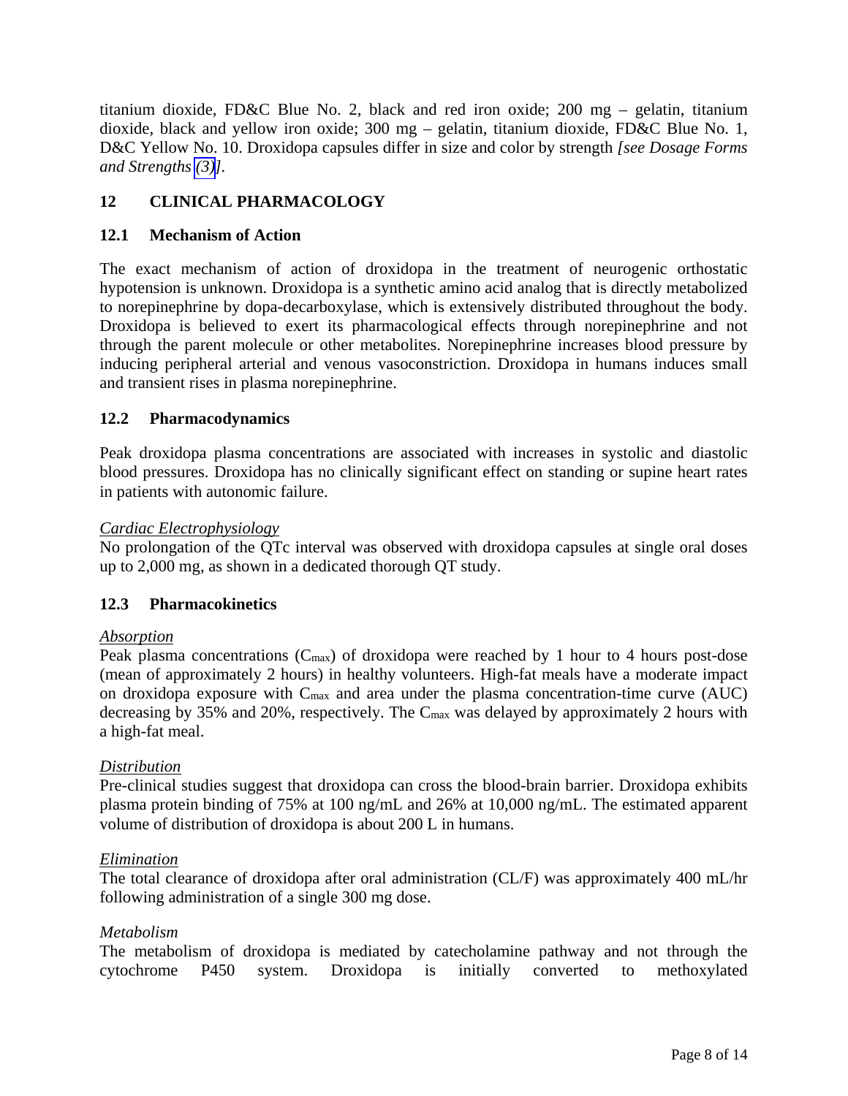<span id="page-7-0"></span>titanium dioxide, FD&C Blue No. 2, black and red iron oxide; 200 mg – gelatin, titanium dioxide, black and yellow iron oxide; 300 mg – gelatin, titanium dioxide, FD&C Blue No. 1, D&C Yellow No. 10. Droxidopa capsules differ in size and color by strength *[see Dosage Forms and Strengths [\(3\)](#page-1-0)].*

# **12 CLINICAL PHARMACOLOGY**

# **12.1 Mechanism of Action**

The exact mechanism of action of droxidopa in the treatment of neurogenic orthostatic hypotension is unknown. Droxidopa is a synthetic amino acid analog that is directly metabolized to norepinephrine by dopa-decarboxylase, which is extensively distributed throughout the body. Droxidopa is believed to exert its pharmacological effects through norepinephrine and not through the parent molecule or other metabolites. Norepinephrine increases blood pressure by inducing peripheral arterial and venous vasoconstriction. Droxidopa in humans induces small and transient rises in plasma norepinephrine.

# **12.2 Pharmacodynamics**

Peak droxidopa plasma concentrations are associated with increases in systolic and diastolic blood pressures. Droxidopa has no clinically significant effect on standing or supine heart rates in patients with autonomic failure.

## *Cardiac Electrophysiology*

No prolongation of the QTc interval was observed with droxidopa capsules at single oral doses up to 2,000 mg, as shown in a dedicated thorough QT study.

# **12.3 Pharmacokinetics**

## *Absorption*

Peak plasma concentrations  $(C_{\text{max}})$  of droxidopa were reached by 1 hour to 4 hours post-dose (mean of approximately 2 hours) in healthy volunteers. High-fat meals have a moderate impact on droxidopa exposure with Cmax and area under the plasma concentration-time curve (AUC) decreasing by 35% and 20%, respectively. The Cmax was delayed by approximately 2 hours with a high-fat meal.

## *Distribution*

Pre-clinical studies suggest that droxidopa can cross the blood-brain barrier. Droxidopa exhibits plasma protein binding of 75% at 100 ng/mL and 26% at 10,000 ng/mL. The estimated apparent volume of distribution of droxidopa is about 200 L in humans.

## *Elimination*

The total clearance of droxidopa after oral administration (CL/F) was approximately 400 mL/hr following administration of a single 300 mg dose.

# *Metabolism*

The metabolism of droxidopa is mediated by catecholamine pathway and not through the cytochrome P450 system. Droxidopa is initially converted to methoxylated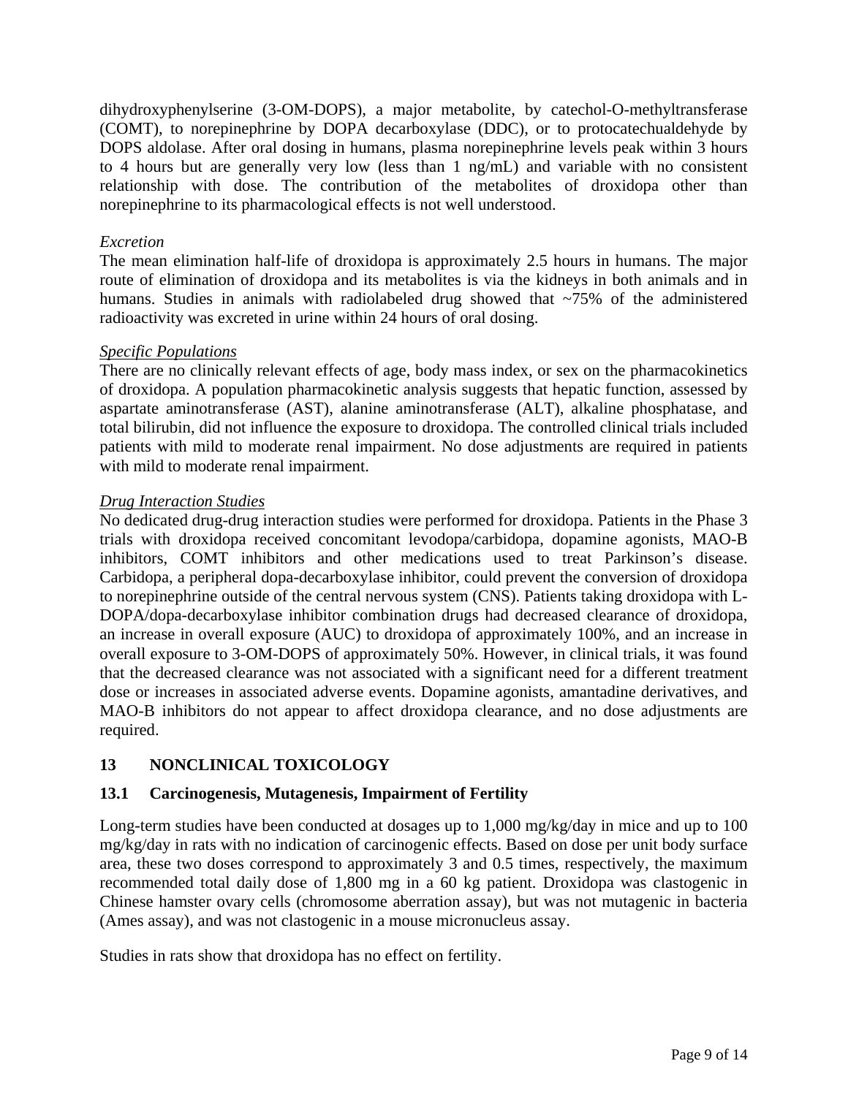<span id="page-8-0"></span>dihydroxyphenylserine (3-OM-DOPS), a major metabolite, by catechol-O-methyltransferase (COMT), to norepinephrine by DOPA decarboxylase (DDC), or to protocatechualdehyde by DOPS aldolase. After oral dosing in humans, plasma norepinephrine levels peak within 3 hours to 4 hours but are generally very low (less than 1 ng/mL) and variable with no consistent relationship with dose. The contribution of the metabolites of droxidopa other than norepinephrine to its pharmacological effects is not well understood.

## *Excretion*

The mean elimination half-life of droxidopa is approximately 2.5 hours in humans. The major route of elimination of droxidopa and its metabolites is via the kidneys in both animals and in humans. Studies in animals with radiolabeled drug showed that ~75% of the administered radioactivity was excreted in urine within 24 hours of oral dosing.

#### *Specific Populations*

There are no clinically relevant effects of age, body mass index, or sex on the pharmacokinetics of droxidopa. A population pharmacokinetic analysis suggests that hepatic function, assessed by aspartate aminotransferase (AST), alanine aminotransferase (ALT), alkaline phosphatase, and total bilirubin, did not influence the exposure to droxidopa. The controlled clinical trials included patients with mild to moderate renal impairment. No dose adjustments are required in patients with mild to moderate renal impairment.

#### *Drug Interaction Studies*

No dedicated drug-drug interaction studies were performed for droxidopa. Patients in the Phase 3 trials with droxidopa received concomitant levodopa/carbidopa, dopamine agonists, MAO-B inhibitors, COMT inhibitors and other medications used to treat Parkinson's disease. Carbidopa, a peripheral dopa-decarboxylase inhibitor, could prevent the conversion of droxidopa to norepinephrine outside of the central nervous system (CNS). Patients taking droxidopa with L-DOPA/dopa-decarboxylase inhibitor combination drugs had decreased clearance of droxidopa, an increase in overall exposure (AUC) to droxidopa of approximately 100%, and an increase in overall exposure to 3-OM-DOPS of approximately 50%. However, in clinical trials, it was found that the decreased clearance was not associated with a significant need for a different treatment dose or increases in associated adverse events. Dopamine agonists, amantadine derivatives, and MAO-B inhibitors do not appear to affect droxidopa clearance, and no dose adjustments are required.

# **13 NONCLINICAL TOXICOLOGY**

## **13.1 Carcinogenesis, Mutagenesis, Impairment of Fertility**

Long-term studies have been conducted at dosages up to 1,000 mg/kg/day in mice and up to 100 mg/kg/day in rats with no indication of carcinogenic effects. Based on dose per unit body surface area, these two doses correspond to approximately 3 and 0.5 times, respectively, the maximum recommended total daily dose of 1,800 mg in a 60 kg patient. Droxidopa was clastogenic in Chinese hamster ovary cells (chromosome aberration assay), but was not mutagenic in bacteria (Ames assay), and was not clastogenic in a mouse micronucleus assay.

Studies in rats show that droxidopa has no effect on fertility.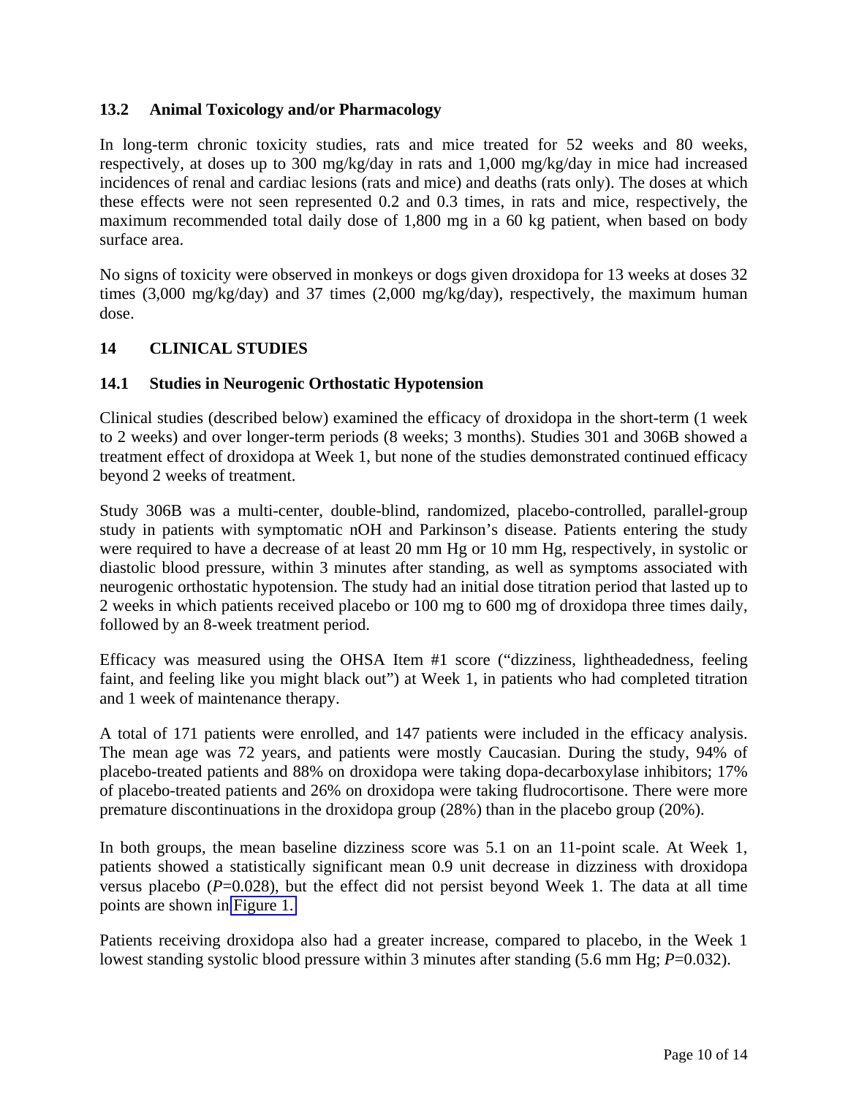# <span id="page-9-0"></span>**13.2 Animal Toxicology and/or Pharmacology**

In long-term chronic toxicity studies, rats and mice treated for 52 weeks and 80 weeks, respectively, at doses up to 300 mg/kg/day in rats and 1,000 mg/kg/day in mice had increased incidences of renal and cardiac lesions (rats and mice) and deaths (rats only). The doses at which these effects were not seen represented 0.2 and 0.3 times, in rats and mice, respectively, the maximum recommended total daily dose of 1,800 mg in a 60 kg patient, when based on body surface area.

No signs of toxicity were observed in monkeys or dogs given droxidopa for 13 weeks at doses 32 times (3,000 mg/kg/day) and 37 times (2,000 mg/kg/day), respectively, the maximum human dose.

# **14 CLINICAL STUDIES**

# **14.1 Studies in Neurogenic Orthostatic Hypotension**

Clinical studies (described below) examined the efficacy of droxidopa in the short-term (1 week to 2 weeks) and over longer-term periods (8 weeks; 3 months). Studies 301 and 306B showed a treatment effect of droxidopa at Week 1, but none of the studies demonstrated continued efficacy beyond 2 weeks of treatment.

Study 306B was a multi-center, double-blind, randomized, placebo-controlled, parallel-group study in patients with symptomatic nOH and Parkinson's disease. Patients entering the study were required to have a decrease of at least 20 mm Hg or 10 mm Hg, respectively, in systolic or diastolic blood pressure, within 3 minutes after standing, as well as symptoms associated with neurogenic orthostatic hypotension. The study had an initial dose titration period that lasted up to 2 weeks in which patients received placebo or 100 mg to 600 mg of droxidopa three times daily, followed by an 8-week treatment period.

Efficacy was measured using the OHSA Item #1 score ("dizziness, lightheadedness, feeling faint, and feeling like you might black out") at Week 1, in patients who had completed titration and 1 week of maintenance therapy.

A total of 171 patients were enrolled, and 147 patients were included in the efficacy analysis. The mean age was 72 years, and patients were mostly Caucasian. During the study, 94% of placebo-treated patients and 88% on droxidopa were taking dopa-decarboxylase inhibitors; 17% of placebo-treated patients and 26% on droxidopa were taking fludrocortisone. There were more premature discontinuations in the droxidopa group (28%) than in the placebo group (20%).

In both groups, the mean baseline dizziness score was 5.1 on an 11-point scale. At Week 1, patients showed a statistically significant mean 0.9 unit decrease in dizziness with droxidopa versus placebo  $(P=0.028)$ , but the effect did not persist beyond Week 1. The data at all time points are shown in [Figure 1.](#page-10-0) 

Patients receiving droxidopa also had a greater increase, compared to placebo, in the Week 1 lowest standing systolic blood pressure within 3 minutes after standing (5.6 mm Hg; *P*=0.032).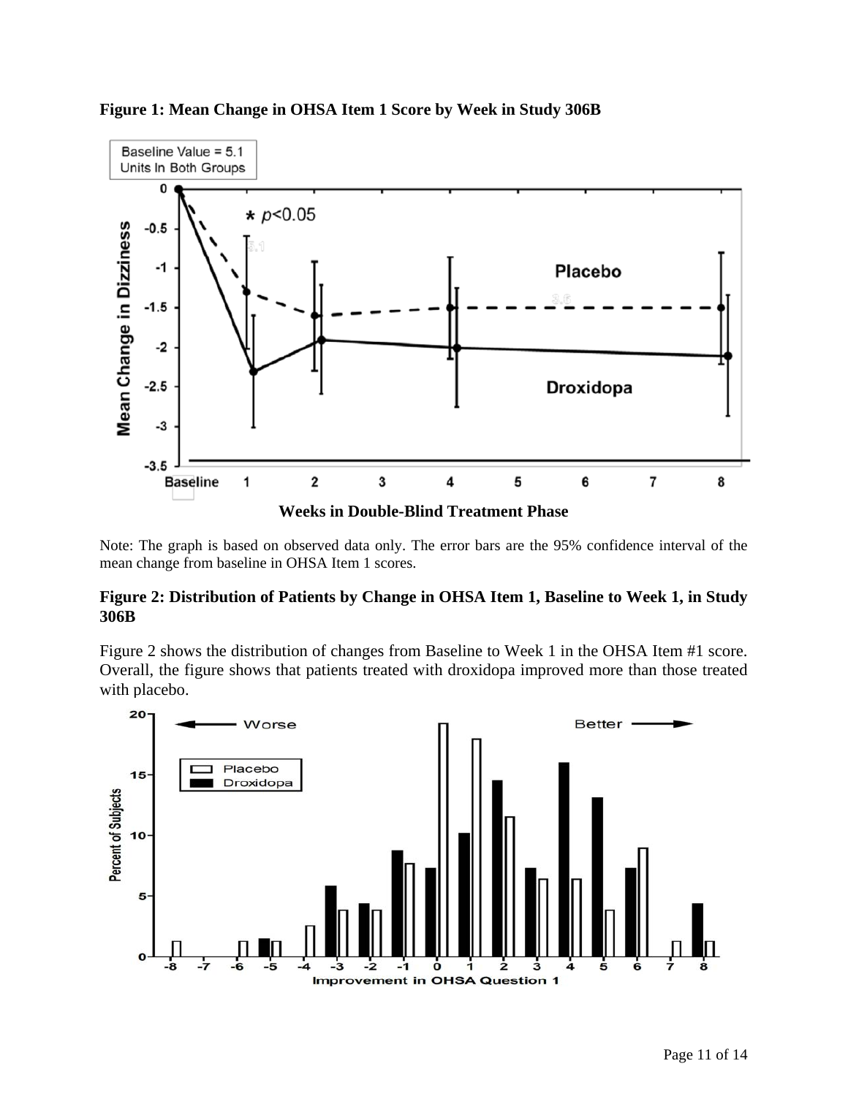

#### <span id="page-10-0"></span>**Figure 1: Mean Change in OHSA Item 1 Score by Week in Study 306B**

Note: The graph is based on observed data only. The error bars are the 95% confidence interval of the mean change from baseline in OHSA Item 1 scores.

## **Figure 2: Distribution of Patients by Change in OHSA Item 1, Baseline to Week 1, in Study 306B**

Figure 2 shows the distribution of changes from Baseline to Week 1 in the OHSA Item #1 score. Overall, the figure shows that patients treated with droxidopa improved more than those treated with placebo.

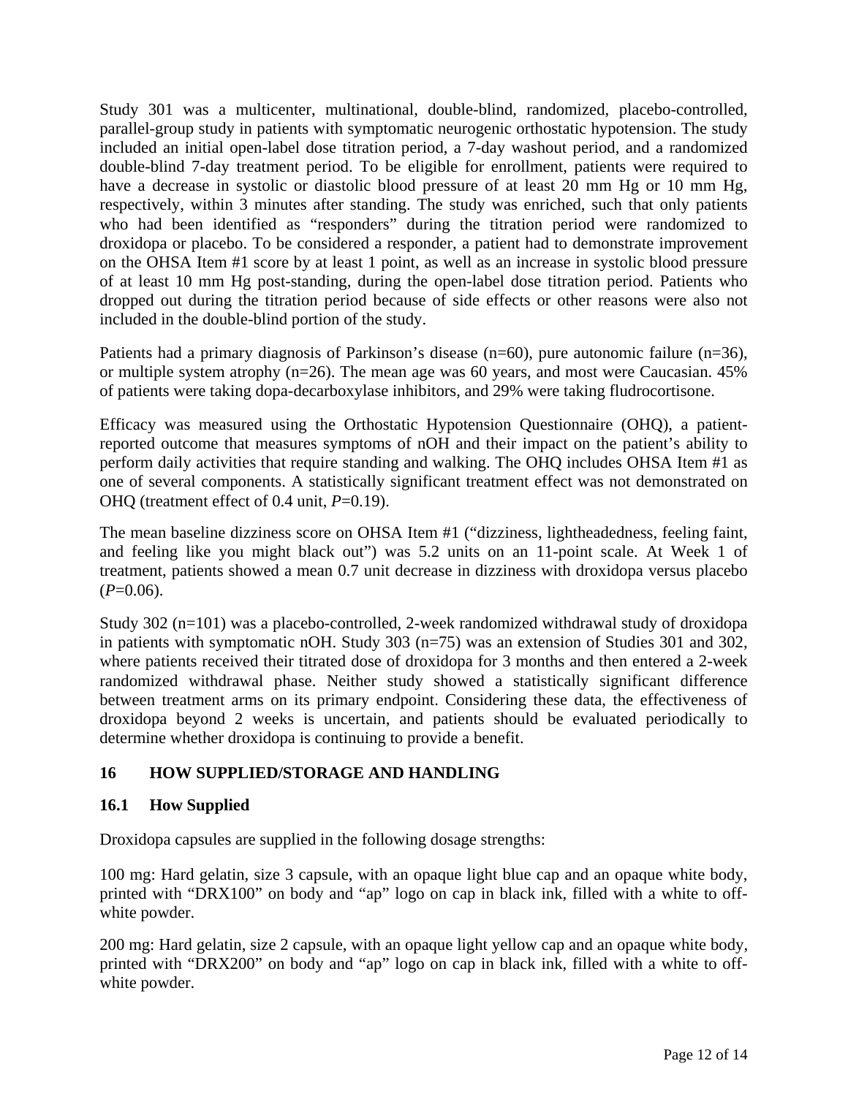<span id="page-11-0"></span>Study 301 was a multicenter, multinational, double-blind, randomized, placebo-controlled, parallel-group study in patients with symptomatic neurogenic orthostatic hypotension. The study included an initial open-label dose titration period, a 7-day washout period, and a randomized double-blind 7-day treatment period. To be eligible for enrollment, patients were required to have a decrease in systolic or diastolic blood pressure of at least 20 mm Hg or 10 mm Hg, respectively, within 3 minutes after standing. The study was enriched, such that only patients who had been identified as "responders" during the titration period were randomized to droxidopa or placebo. To be considered a responder, a patient had to demonstrate improvement on the OHSA Item #1 score by at least 1 point, as well as an increase in systolic blood pressure of at least 10 mm Hg post-standing, during the open-label dose titration period. Patients who dropped out during the titration period because of side effects or other reasons were also not included in the double-blind portion of the study.

Patients had a primary diagnosis of Parkinson's disease (n=60), pure autonomic failure (n=36), or multiple system atrophy (n=26). The mean age was 60 years, and most were Caucasian. 45% of patients were taking dopa-decarboxylase inhibitors, and 29% were taking fludrocortisone.

Efficacy was measured using the Orthostatic Hypotension Questionnaire (OHQ), a patientreported outcome that measures symptoms of nOH and their impact on the patient's ability to perform daily activities that require standing and walking. The OHQ includes OHSA Item #1 as one of several components. A statistically significant treatment effect was not demonstrated on OHQ (treatment effect of 0.4 unit, *P*=0.19).

The mean baseline dizziness score on OHSA Item #1 ("dizziness, lightheadedness, feeling faint, and feeling like you might black out") was 5.2 units on an 11-point scale. At Week 1 of treatment, patients showed a mean 0.7 unit decrease in dizziness with droxidopa versus placebo  $(P=0.06)$ .

Study 302 (n=101) was a placebo-controlled, 2-week randomized withdrawal study of droxidopa in patients with symptomatic nOH. Study 303 (n=75) was an extension of Studies 301 and 302, where patients received their titrated dose of droxidopa for 3 months and then entered a 2-week randomized withdrawal phase. Neither study showed a statistically significant difference between treatment arms on its primary endpoint. Considering these data, the effectiveness of droxidopa beyond 2 weeks is uncertain, and patients should be evaluated periodically to determine whether droxidopa is continuing to provide a benefit.

# **16 HOW SUPPLIED/STORAGE AND HANDLING**

# **16.1 How Supplied**

Droxidopa capsules are supplied in the following dosage strengths:

100 mg: Hard gelatin, size 3 capsule, with an opaque light blue cap and an opaque white body, printed with "DRX100" on body and "ap" logo on cap in black ink, filled with a white to offwhite powder.

200 mg: Hard gelatin, size 2 capsule, with an opaque light yellow cap and an opaque white body, printed with "DRX200" on body and "ap" logo on cap in black ink, filled with a white to offwhite powder.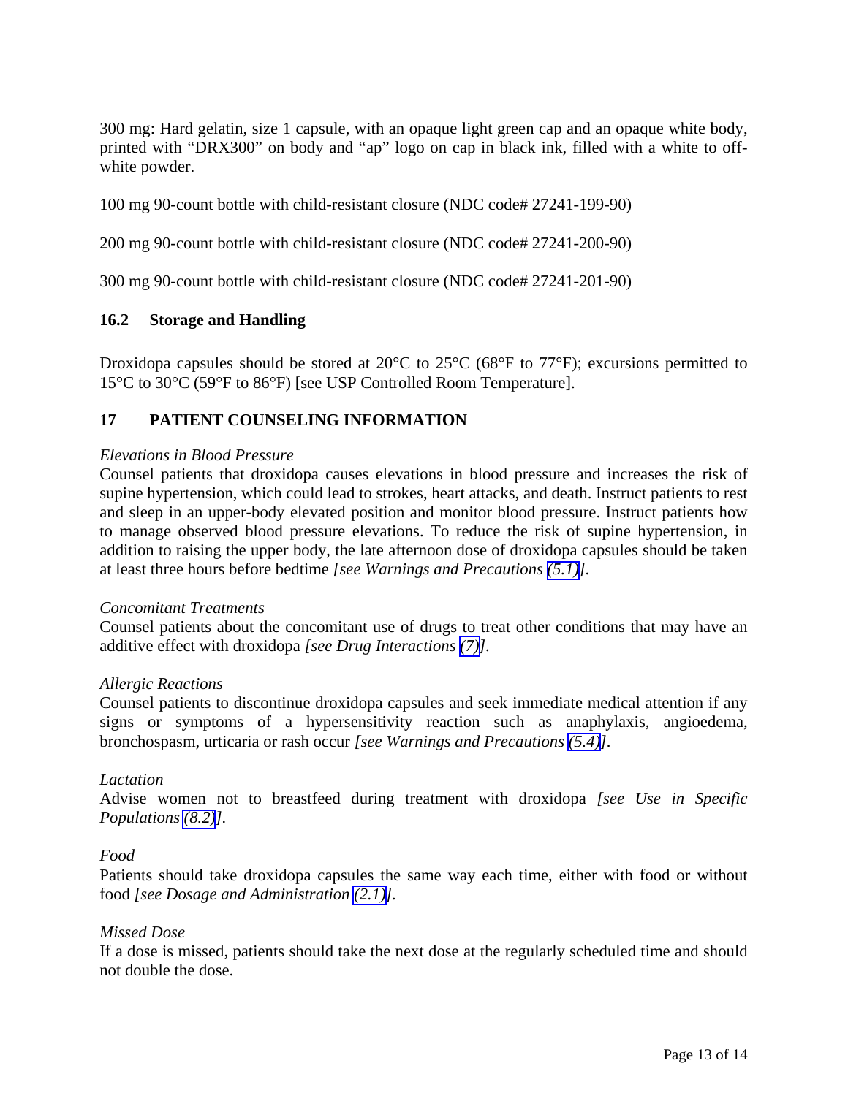<span id="page-12-0"></span>300 mg: Hard gelatin, size 1 capsule, with an opaque light green cap and an opaque white body, printed with "DRX300" on body and "ap" logo on cap in black ink, filled with a white to offwhite powder.

100 mg 90-count bottle with child-resistant closure (NDC code# 27241-199-90)

200 mg 90-count bottle with child-resistant closure (NDC code# 27241-200-90)

300 mg 90-count bottle with child-resistant closure (NDC code# 27241-201-90)

## **16.2 Storage and Handling**

Droxidopa capsules should be stored at 20°C to 25°C (68°F to 77°F); excursions permitted to 15°C to 30°C (59°F to 86°F) [see USP Controlled Room Temperature].

# **17 PATIENT COUNSELING INFORMATION**

#### *Elevations in Blood Pressure*

Counsel patients that droxidopa causes elevations in blood pressure and increases the risk of supine hypertension, which could lead to strokes, heart attacks, and death. Instruct patients to rest and sleep in an upper-body elevated position and monitor blood pressure. Instruct patients how to manage observed blood pressure elevations. To reduce the risk of supine hypertension, in addition to raising the upper body, the late afternoon dose of droxidopa capsules should be taken at least three hours before bedtime *[see Warnings and Precautions [\(5.1\)](#page-2-0)].* 

#### *Concomitant Treatments*

Counsel patients about the concomitant use of drugs to treat other conditions that may have an additive effect with droxidopa *[see Drug Interactions [\(7\)\]](#page-4-0).*

#### *Allergic Reactions*

Counsel patients to discontinue droxidopa capsules and seek immediate medical attention if any signs or symptoms of a hypersensitivity reaction such as anaphylaxis, angioedema, bronchospasm, urticaria or rash occur *[see Warnings and Precautions [\(5.4\)\]](#page-2-0).* 

#### *Lactation*

Advise women not to breastfeed during treatment with droxidopa *[see Use in Specific Populations [\(8.2\)](#page-5-0)].* 

#### *Food*

Patients should take droxidopa capsules the same way each time, either with food or without food *[see Dosage and Administration [\(2.1\)\]](#page-1-0).*

#### *Missed Dose*

If a dose is missed, patients should take the next dose at the regularly scheduled time and should not double the dose.